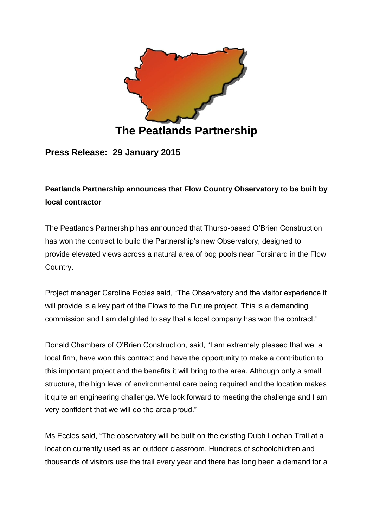

**Press Release: 29 January 2015**

**Peatlands Partnership announces that Flow Country Observatory to be built by local contractor**

The Peatlands Partnership has announced that Thurso-based O'Brien Construction has won the contract to build the Partnership's new Observatory, designed to provide elevated views across a natural area of bog pools near Forsinard in the Flow Country.

Project manager Caroline Eccles said, "The Observatory and the visitor experience it will provide is a key part of the Flows to the Future project. This is a demanding commission and I am delighted to say that a local company has won the contract."

Donald Chambers of O'Brien Construction, said, "I am extremely pleased that we, a local firm, have won this contract and have the opportunity to make a contribution to this important project and the benefits it will bring to the area. Although only a small structure, the high level of environmental care being required and the location makes it quite an engineering challenge. We look forward to meeting the challenge and I am very confident that we will do the area proud."

Ms Eccles said, "The observatory will be built on the existing Dubh Lochan Trail at a location currently used as an outdoor classroom. Hundreds of schoolchildren and thousands of visitors use the trail every year and there has long been a demand for a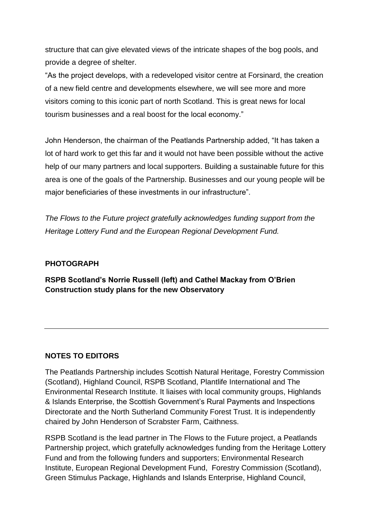structure that can give elevated views of the intricate shapes of the bog pools, and provide a degree of shelter.

"As the project develops, with a redeveloped visitor centre at Forsinard, the creation of a new field centre and developments elsewhere, we will see more and more visitors coming to this iconic part of north Scotland. This is great news for local tourism businesses and a real boost for the local economy."

John Henderson, the chairman of the Peatlands Partnership added, "It has taken a lot of hard work to get this far and it would not have been possible without the active help of our many partners and local supporters. Building a sustainable future for this area is one of the goals of the Partnership. Businesses and our young people will be major beneficiaries of these investments in our infrastructure".

*The Flows to the Future project gratefully acknowledges funding support from the Heritage Lottery Fund and the European Regional Development Fund.*

## **PHOTOGRAPH**

**RSPB Scotland's Norrie Russell (left) and Cathel Mackay from O'Brien Construction study plans for the new Observatory**

## **NOTES TO EDITORS**

The Peatlands Partnership includes Scottish Natural Heritage, Forestry Commission (Scotland), Highland Council, RSPB Scotland, Plantlife International and The Environmental Research Institute. It liaises with local community groups, Highlands & Islands Enterprise, the Scottish Government's Rural Payments and Inspections Directorate and the North Sutherland Community Forest Trust. It is independently chaired by John Henderson of Scrabster Farm, Caithness.

RSPB Scotland is the lead partner in The Flows to the Future project, a Peatlands Partnership project, which gratefully acknowledges funding from the Heritage Lottery Fund and from the following funders and supporters; Environmental Research Institute, European Regional Development Fund, Forestry Commission (Scotland), Green Stimulus Package, Highlands and Islands Enterprise, Highland Council,